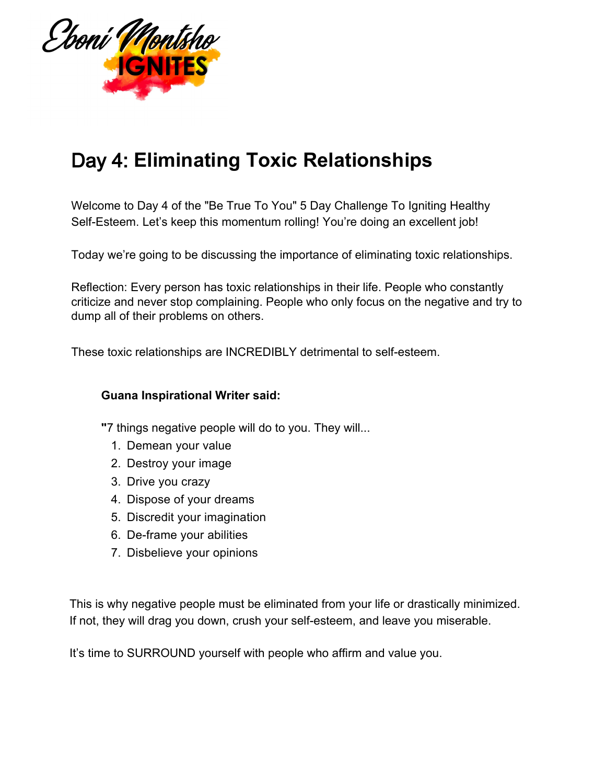

## Day 4: **Eliminating Toxic Relationships**

Welcome to Day 4 of the "Be True To You" 5 Day Challenge To Igniting Healthy Self-Esteem. Let's keep this momentum rolling! You're doing an excellent job!

Today we're going to be discussing the importance of eliminating toxic relationships.

Reflection: Every person has toxic relationships in their life. People who constantly criticize and never stop complaining. People who only focus on the negative and try to dump all of their problems on others.

These toxic relationships are INCREDIBLY detrimental to self-esteem.

## **Guana Inspirational Writer said:**

**"**7 things negative people will do to you. They will...

- 1. Demean your value
- 2. Destroy your image
- 3. Drive you crazy
- 4. Dispose of your dreams
- 5. Discredit your imagination
- 6. De-frame your abilities
- 7. Disbelieve your opinions

This is why negative people must be eliminated from your life or drastically minimized. If not, they will drag you down, crush your self-esteem, and leave you miserable.

It's time to SURROUND yourself with people who affirm and value you.